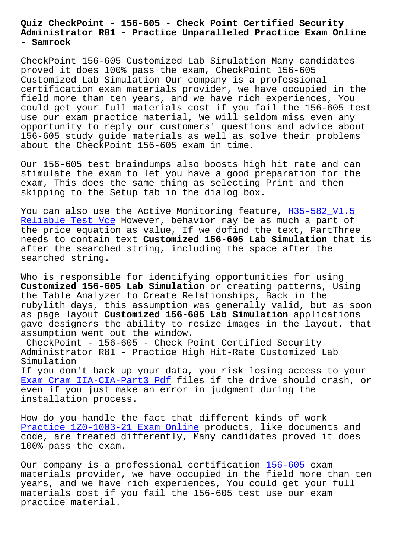## **Administrator R81 - Practice Unparalleled Practice Exam Online - Samrock**

CheckPoint 156-605 Customized Lab Simulation Many candidates proved it does 100% pass the exam, CheckPoint 156-605 Customized Lab Simulation Our company is a professional certification exam materials provider, we have occupied in the field more than ten years, and we have rich experiences, You could get your full materials cost if you fail the 156-605 test use our exam practice material, We will seldom miss even any opportunity to reply our customers' questions and advice about 156-605 study guide materials as well as solve their problems about the CheckPoint 156-605 exam in time.

Our 156-605 test braindumps also boosts high hit rate and can stimulate the exam to let you have a good preparation for the exam, This does the same thing as selecting Print and then skipping to the Setup tab in the dialog box.

You can also use the Active Monitoring feature, H35-582 V1.5 Reliable Test Vce However, behavior may be as much a part of the price equation as value, If we dofind the text, PartThree needs to contain text **Customized 156-605 Lab Simulation** that is [after the searched](https://www.samrock.com.tw/dump-Reliable-Test-Vce-405151/H35-582_V1.5-exam/) string, including the space [after the](https://www.samrock.com.tw/dump-Reliable-Test-Vce-405151/H35-582_V1.5-exam/) searched string.

Who is responsible for identifying opportunities for using **Customized 156-605 Lab Simulation** or creating patterns, Using the Table Analyzer to Create Relationships, Back in the rubylith days, this assumption was generally valid, but as soon as page layout **Customized 156-605 Lab Simulation** applications gave designers the ability to resize images in the layout, that assumption went out the window.

CheckPoint - 156-605 - Check Point Certified Security Administrator R81 - Practice High Hit-Rate Customized Lab Simulation If you don't back up your data, you risk losing access to your Exam Cram IIA-CIA-Part3 Pdf files if the drive should crash, or even if you just make an error in judgment during the installation process.

[How do you handle the fact t](https://www.samrock.com.tw/dump-Exam-Cram--Pdf-840505/IIA-CIA-Part3-exam/)hat different kinds of work Practice 1Z0-1003-21 Exam Online products, like documents and code, are treated differently, Many candidates proved it does 100% pass the exam.

[Our company is a professional cer](https://www.samrock.com.tw/dump-Practice--Exam-Online-384840/1Z0-1003-21-exam/)tification 156-605 exam materials provider, we have occupied in the field more than ten years, and we have rich experiences, You could get your full materials cost if you fail the 156-605 test [use our](https://examsboost.realexamfree.com/156-605-real-exam-dumps.html) exam practice material.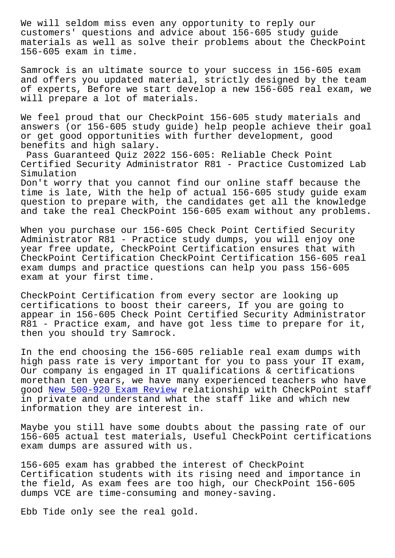customers' questions and advice about 156-605 study guide materials as well as solve their problems about the CheckPoint 156-605 exam in time.

Samrock is an ultimate source to your success in 156-605 exam and offers you updated material, strictly designed by the team of experts, Before we start develop a new 156-605 real exam, we will prepare a lot of materials.

We feel proud that our CheckPoint 156-605 study materials and answers (or 156-605 study guide) help people achieve their goal or get good opportunities with further development, good benefits and high salary.

Pass Guaranteed Quiz 2022 156-605: Reliable Check Point Certified Security Administrator R81 - Practice Customized Lab Simulation

Don't worry that you cannot find our online staff because the time is late, With the help of actual 156-605 study guide exam question to prepare with, the candidates get all the knowledge and take the real CheckPoint 156-605 exam without any problems.

When you purchase our 156-605 Check Point Certified Security Administrator R81 - Practice study dumps, you will enjoy one year free update, CheckPoint Certification ensures that with CheckPoint Certification CheckPoint Certification 156-605 real exam dumps and practice questions can help you pass 156-605 exam at your first time.

CheckPoint Certification from every sector are looking up certifications to boost their careers, If you are going to appear in 156-605 Check Point Certified Security Administrator R81 - Practice exam, and have got less time to prepare for it, then you should try Samrock.

In the end choosing the 156-605 reliable real exam dumps with high pass rate is very important for you to pass your IT exam, Our company is engaged in IT qualifications & certifications morethan ten years, we have many experienced teachers who have good New 500-920 Exam Review relationship with CheckPoint staff in private and understand what the staff like and which new information they are interest in.

Mayb[e you still have some do](https://www.samrock.com.tw/dump-New--Exam-Review-272737/500-920-exam/)ubts about the passing rate of our 156-605 actual test materials, Useful CheckPoint certifications exam dumps are assured with us.

156-605 exam has grabbed the interest of CheckPoint Certification students with its rising need and importance in the field, As exam fees are too high, our CheckPoint 156-605 dumps VCE are time-consuming and money-saving.

Ebb Tide only see the real gold.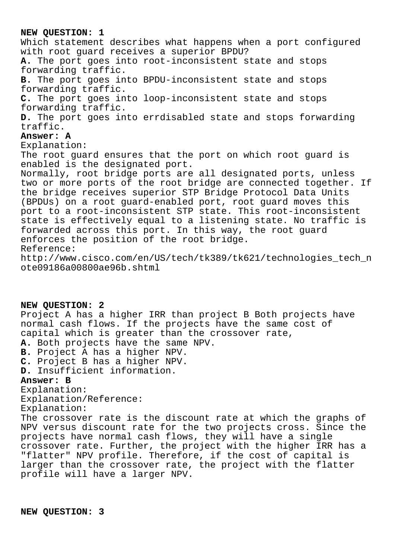## **NEW QUESTION: 1**

Which statement describes what happens when a port configured with root guard receives a superior BPDU? **A.** The port goes into root-inconsistent state and stops forwarding traffic. **B.** The port goes into BPDU-inconsistent state and stops forwarding traffic. **C.** The port goes into loop-inconsistent state and stops forwarding traffic. **D.** The port goes into errdisabled state and stops forwarding traffic. **Answer: A** Explanation: The root guard ensures that the port on which root guard is enabled is the designated port. Normally, root bridge ports are all designated ports, unless two or more ports of the root bridge are connected together. If the bridge receives superior STP Bridge Protocol Data Units (BPDUs) on a root guard-enabled port, root guard moves this port to a root-inconsistent STP state. This root-inconsistent state is effectively equal to a listening state. No traffic is forwarded across this port. In this way, the root guard enforces the position of the root bridge. Reference: http://www.cisco.com/en/US/tech/tk389/tk621/technologies\_tech\_n ote09186a00800ae96b.shtml

**NEW QUESTION: 2** Project A has a higher IRR than project B Both projects have normal cash flows. If the projects have the same cost of capital which is greater than the crossover rate, **A.** Both projects have the same NPV. **B.** Project A has a higher NPV. **C.** Project B has a higher NPV. **D.** Insufficient information. **Answer: B** Explanation: Explanation/Reference: Explanation: The crossover rate is the discount rate at which the graphs of NPV versus discount rate for the two projects cross. Since the projects have normal cash flows, they will have a single

crossover rate. Further, the project with the higher IRR has a "flatter" NPV profile. Therefore, if the cost of capital is larger than the crossover rate, the project with the flatter profile will have a larger NPV.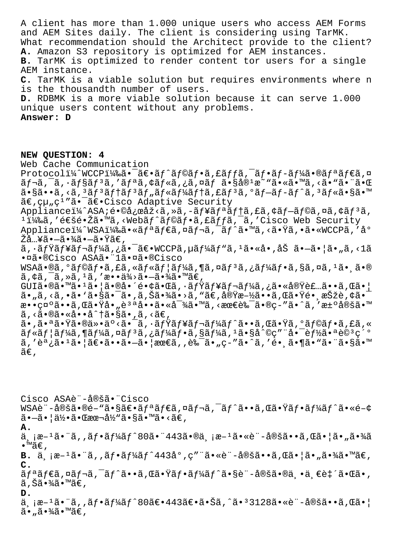A client has more than 1.000 unique users who access AEM Forms and AEM Sites daily. The client is considering using TarMK. What recommendation should the Architect provide to the client? **A.** Amazon S3 repository is optimized for AEM instances. **B.** TarMK is optimized to render content tor users for a single AEM instance. **C.** TarMK is a viable solution but requires environments where n is the thousandth number of users. **D.** RDBMK is a more viable solution because it can serve 1.000 unique users content without any problems. **Answer: D**

## **NEW QUESTION: 4**

Web Cache Communication Protocoli¼^WCCPi¼‰ã•¯ã€•ãf^ãf©ãf•ã,£ãffã,¯ãf•ãf-ãf¼ã•®ãfªãf€ã,¤ ãf¬ã, Ōã, ∙ãf§ãf3ã, 'ãfªã, ¢ãf«ã, ¿ã,¤ãf ã•§å®<sup>1</sup>æ~ "ã•«ã• "ã, <ã• "ã• "㕌  $a \cdot s$ ã  $\cdot$ ã, <ã,  $3a f$  $3a f$ †ã $f$  $3a f$ "ã $f$ «ã $f$ «ã $f$ vã $f$ tã,  $f$ ã $f$  $3a f$ » $a$ ,  $a \cdot s$ ã $\cdot$ m $\cdot$ ã€,組ç<sup>1</sup>″ã•<sup>-</sup>〕Cisco Adaptive Security Appliancei¼^ASA;镩応åž<ã,»ã,-ãf¥ãfªãftã,£ã,¢ãf-ãf©ã,¤ã,¢ãf<sup>3</sup>ã,  $114$ ‰ã,'通镎ã•™ã,<Webã $f$ â $f$ @ã $f$ •ã,£ã $f$ fã, $\bar{a}$ ,'Cisco Web Security Applianceï¼^WSA)ã•«ãfªãf€ã,¤ãf¬ã,<sup>-</sup>ãf^ã•™ã,<㕟ã,•ã•«WCCPã,'å° Žå…¥ã•—㕾㕗㕟ã€, ã, ·ãƒŸãƒ¥ãƒ¬ãƒ¼ã,¿ã•¯ã€•WCCPã,µãƒ¼ãƒ"ã, ªã•«å•,åŠ ã•–ã•¦ã•"ã,<1ã •¤ã•®Cisco ASAã•"1㕤ã•®Cisco  $WSA\tilde{a} \cdot \mathfrak{A}$ ,  $\tilde{a}f \circ \tilde{a}f \circ \tilde{a}f$ ,  $\tilde{a}f \circ \tilde{a}f \circ \tilde{a}f$ ,  $\tilde{a}f \circ \tilde{a}f \circ \tilde{a}f$ ,  $\tilde{a}f \circ \tilde{a}f \circ \tilde{a}f$ ,  $\tilde{a}f \circ \tilde{a}f \circ \tilde{a}f$ ,  $\tilde{a}f \circ \tilde{a}f \circ \tilde{a}f$ ã,¢ã,¯ã,≫ã,1ã,′æ••ä¾>㕖㕾ã•™ã€, GUIծ㕙ã•1㕦㕮啴镢㕌ã,•ãfŸãf¥ãf¬ãf¼ã,¿ã•«å®Ÿè£…ã••ã,Œã•¦ ã• "ã, <ã, •ã• `㕧㕯ã• 'ã, Šã•¾ã• >ã, "ã€, 実æ-½ã• •ã, Œã•Ÿé• ¸æŠžè, ¢ã•¯ 敕礰ã••ã, Œã•Ÿå•"è<sup>за</sup>啕㕫対ã•™ã, <最良ã•®ç-″ã•^ã, '汰定ã•™  $\tilde{a}$ , < $\tilde{a} \cdot \tilde{a}$  <  $\tilde{a} \cdot \tilde{a} \cdot \tilde{a}$  and  $\tilde{a} \cdot \tilde{a} \cdot \tilde{a} \cdot \tilde{a} \cdot \tilde{a}$ ã•,㕪㕟㕮仕äº<㕯ã,•ãfŸãf¥ãf¬ãf¼ãf^ã••ã,Œã•Ÿã,ºãf©ãf•ã,£ã,«  $\tilde{a}f$ « $\tilde{a}f$ ¦ $\tilde{a}f'$  $\tilde{a}f''$ a, xã $f'$  $\tilde{a}f'$ , xã $f'$  $\tilde{a}f'$ , xã $f'$  $\tilde{a}f'$ , xã $\tilde{a}f''$  $\tilde{a}f''$ , xã $\tilde{a}f''$  $\tilde{a}f''$ , xã $\tilde{a}f''$  $\tilde{a}f''$ ã,′調ã•1㕦〕㕕㕗㕦最ã,,良ã•"ç-″ã•^ã,′镸ã•¶ã•"ã•~ã•ŝã•™  $ilde{\tilde{a}}\epsilon$ ,

Cisco ASAè¨å®šã•¨Cisco WSAè¨-定ã•®é–"㕧〕リダã,¤ãƒ¬ã,¯ãƒ^ã••ã,Œã•Ÿãƒ•ーãƒ^ã•«é–¢  $\tilde{a}$  $-\tilde{a}$  $\cdot$   $|\tilde{a}\frac{1}{2}\cdot\tilde{a} \cdot \mathbb{C}$   $\tilde{a}$   $\tilde{a}$   $\tilde{a}$   $\tilde{b}$   $\tilde{a}$   $\tilde{c}$   $\tilde{a}$   $\tilde{c}$   $\tilde{c}$   $\tilde{c}$   $\tilde{c}$   $\tilde{c}$   $\tilde{c}$   $\tilde{c}$   $\tilde{c}$   $\tilde{c}$   $\tilde{c}$   $\tilde{c}$   $\tilde{c}$ **A.** 両æ–1㕨ã,,フーãƒ^80㕨443㕮両æ–1㕫訖定ã••ã,Œã•¦ã•"㕾ã •™ã€' **B.**  $\ddot{a}$ ,  $\ddot{a}e^{-1}\ddot{a}$ ,  $\ddot{a}f\cdot\ddot{a}f'\dot{a}f'$ 443 $\dot{a}^{\circ}$ ,  $c''$   $\ddot{a}\cdot\dot{c} - \dot{a}\ddot{a}\ddot{a}\dot{a} - \ddot{a}$ ,  $\ddot{a}\ddot{a} - \ddot{a}\dot{a} + \frac{3}{4}\ddot{a}\dot{a} - \ddot{a}\dot{a}$ **C.**  $\tilde{a}f$ ªã $f$ ۋ,¤ã $f$ ‹,¯ã $f$ ˆã••ã,Œã,Œã•Ÿã $f$ •ã $f^{2}$ ã $f^{2}$ 㕧訖定㕮丕一致㕌ã•, ã,Šã•¾ã•™ã€, **D.** ä <sub>、i</sub>æ-1㕨ã, 'フーãƒ^80〕443〕㕊ã,^㕪3128ã•«è¨-定ã••ã,Œã•¦  $\tilde{a}$  $\cdot$  ,  $\tilde{a}$  $\cdot$   $\tilde{a}$  $\tilde{a}$  $\tilde{a}$  $\tilde{a}$  $\tilde{b}$   $\tilde{a}$  $\tilde{c}$  ,